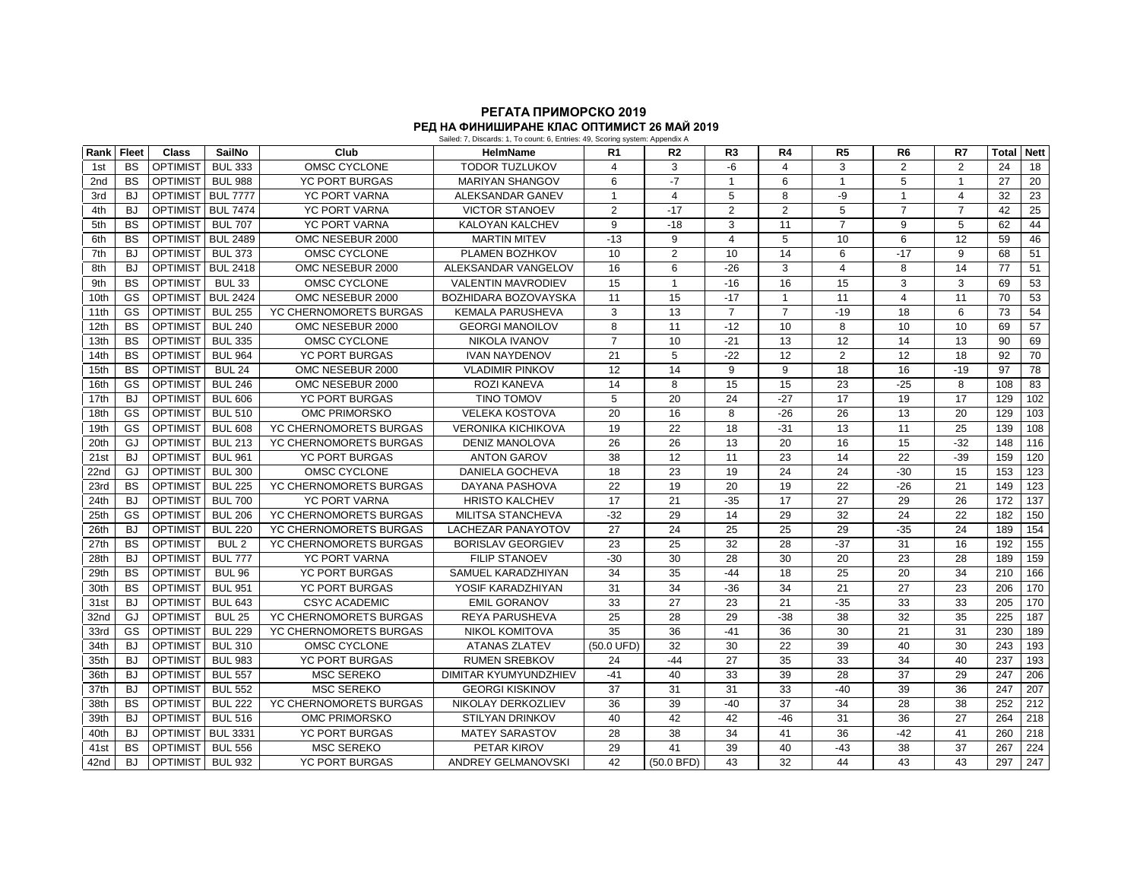## **РЕГАТА ПРИМОРСКО 2019** Sailed: 7, Discards: 1, To count: 6, Entries: 49, Scoring system: Appendix A **РЕД НА ФИНИШИРАНЕ КЛАС ОПТИМИСТ 26 МАЙ 2019**

| Rank | <b>Fleet</b> | <b>Class</b>    | <b>SailNo</b>    | Club                   | <b>HelmName</b>             | R <sub>1</sub> | R <sub>2</sub>  | R <sub>3</sub>  | R <sub>4</sub> | R <sub>5</sub>  | R <sub>6</sub> | R7             | Total | <b>Nett</b>      |
|------|--------------|-----------------|------------------|------------------------|-----------------------------|----------------|-----------------|-----------------|----------------|-----------------|----------------|----------------|-------|------------------|
| 1st  | <b>BS</b>    | <b>OPTIMIST</b> | <b>BUL 333</b>   | <b>OMSC CYCLONE</b>    | <b>TODOR TUZLUKOV</b>       | $\overline{4}$ | 3               | $-6$            | $\overline{4}$ | 3               | $\overline{2}$ | $\overline{2}$ | 24    | 18               |
| 2nd  | <b>BS</b>    | <b>OPTIMIST</b> | <b>BUL 988</b>   | <b>YC PORT BURGAS</b>  | <b>MARIYAN SHANGOV</b>      | 6              | $-7$            | $\mathbf{1}$    | 6              | $\overline{1}$  | 5              | $\mathbf{1}$   | 27    | 20               |
| 3rd  | <b>BJ</b>    | <b>OPTIMIST</b> | <b>BUL 7777</b>  | <b>YC PORT VARNA</b>   | ALEKSANDAR GANEV            | $\mathbf{1}$   | $\overline{4}$  | 5               | 8              | -9              | $\mathbf{1}$   | 4              | 32    | 23               |
| 4th  | <b>BJ</b>    | <b>OPTIMIST</b> | <b>BUL 7474</b>  | <b>YC PORT VARNA</b>   | <b>VICTOR STANOEV</b>       | 2              | $-17$           | 2               | $\overline{2}$ | 5               | $\overline{7}$ | $\overline{7}$ | 42    | 25               |
| 5th  | <b>BS</b>    | <b>OPTIMIST</b> | <b>BUL 707</b>   | <b>YC PORT VARNA</b>   | <b>KALOYAN KALCHEV</b>      | 9              | $-18$           | 3               | 11             | $\overline{7}$  | 9              | 5              | 62    | 44               |
| 6th  | <b>BS</b>    | <b>OPTIMIST</b> | <b>BUL 2489</b>  | OMC NESEBUR 2000       | <b>MARTIN MITEV</b>         | $-13$          | 9               | $\overline{4}$  | 5              | 10              | 6              | 12             | 59    | 46               |
| 7th  | <b>BJ</b>    | <b>OPTIMIST</b> | <b>BUL 373</b>   | OMSC CYCLONE           | PLAMEN BOZHKOV              | 10             | 2               | 10              | 14             | 6               | $-17$          | 9              | 68    | 51               |
| 8th  | <b>BJ</b>    | <b>OPTIMIST</b> | <b>BUL 2418</b>  | OMC NESEBUR 2000       | ALEKSANDAR VANGELOV         | 16             | 6               | $-26$           | 3              | $\overline{4}$  | 8              | 14             | 77    | 51               |
| 9th  | <b>BS</b>    | <b>OPTIMIST</b> | <b>BUL 33</b>    | OMSC CYCLONE           | <b>VALENTIN MAVRODIEV</b>   | 15             | $\overline{1}$  | $-16$           | 16             | 15              | 3              | 3              | 69    | 53               |
| 10th | GS           | OPTIMIST        | <b>BUL 2424</b>  | OMC NESEBUR 2000       | <b>BOZHIDARA BOZOVAYSKA</b> | 11             | 15              | $-17$           | $\mathbf{1}$   | 11              | $\overline{4}$ | 11             | 70    | 53               |
| 11th | GS           | <b>OPTIMIST</b> | <b>BUL 255</b>   | YC CHERNOMORETS BURGAS | <b>KEMALA PARUSHEVA</b>     | 3              | 13              | $\overline{7}$  | $\overline{7}$ | $-19$           | 18             | 6              | 73    | 54               |
| 12th | <b>BS</b>    | <b>OPTIMIST</b> | <b>BUL 240</b>   | OMC NESEBUR 2000       | <b>GEORGI MANOILOV</b>      | 8              | 11              | $-12$           | 10             | 8               | 10             | 10             | 69    | 57               |
| 13th | <b>BS</b>    | <b>OPTIMIST</b> | <b>BUL 335</b>   | OMSC CYCLONE           | <b>NIKOLA IVANOV</b>        | $\overline{7}$ | 10              | $-21$           | 13             | 12              | 14             | 13             | 90    | 69               |
| 14th | <b>BS</b>    | OPTIMIST        | <b>BUL 964</b>   | <b>YC PORT BURGAS</b>  | <b>IVAN NAYDENOV</b>        | 21             | 5               | $-22$           | 12             | 2               | 12             | 18             | 92    | 70               |
| 15th | <b>BS</b>    | <b>OPTIMIST</b> | <b>BUL 24</b>    | OMC NESEBUR 2000       | <b>VLADIMIR PINKOV</b>      | 12             | 14              | 9               | 9              | 18              | 16             | $-19$          | 97    | 78               |
| 16th | <b>GS</b>    | <b>OPTIMIST</b> | <b>BUL 246</b>   | OMC NESEBUR 2000       | ROZI KANEVA                 | 14             | 8               | 15              | 15             | 23              | $-25$          | 8              | 108   | 83               |
| 17th | <b>BJ</b>    | <b>OPTIMIST</b> | <b>BUL 606</b>   | <b>YC PORT BURGAS</b>  | <b>TINO TOMOV</b>           | 5              | 20              | 24              | $-27$          | 17              | 19             | 17             | 129   | 102              |
| 18th | GS           | <b>OPTIMIST</b> | <b>BUL 510</b>   | OMC PRIMORSKO          | <b>VELEKA KOSTOVA</b>       | 20             | 16              | 8               | $-26$          | 26              | 13             | 20             | 129   | 103              |
| 19th | GS           | <b>OPTIMIST</b> | <b>BUL 608</b>   | YC CHERNOMORETS BURGAS | <b>VERONIKA KICHIKOVA</b>   | 19             | 22              | 18              | $-31$          | 13              | 11             | 25             | 139   | 108              |
| 20th | GJ           | <b>OPTIMIST</b> | <b>BUL 213</b>   | YC CHERNOMORETS BURGAS | <b>DENIZ MANOLOVA</b>       | 26             | 26              | 13              | 20             | 16              | 15             | $-32$          | 148   | 116              |
| 21st | <b>BJ</b>    | <b>OPTIMIST</b> | <b>BUL 961</b>   | <b>YC PORT BURGAS</b>  | <b>ANTON GAROV</b>          | 38             | 12              | 11              | 23             | 14              | 22             | $-39$          | 159   | 120              |
| 22nd | GJ           | <b>OPTIMIST</b> | <b>BUL 300</b>   | OMSC CYCLONE           | DANIELA GOCHEVA             | 18             | 23              | 19              | 24             | 24              | $-30$          | 15             | 153   | 123              |
| 23rd | <b>BS</b>    | <b>OPTIMIST</b> | <b>BUL 225</b>   | YC CHERNOMORETS BURGAS | DAYANA PASHOVA              | 22             | 19              | 20              | 19             | 22              | $-26$          | 21             | 149   | 123              |
| 24th | <b>BJ</b>    | <b>OPTIMIST</b> | <b>BUL 700</b>   | <b>YC PORT VARNA</b>   | <b>HRISTO KALCHEV</b>       | 17             | 21              | $-35$           | 17             | 27              | 29             | 26             | 172   | $\overline{137}$ |
| 25th | GS           | OPTIMIST        | <b>BUL 206</b>   | YC CHERNOMORETS BURGAS | <b>MILITSA STANCHEVA</b>    | $-32$          | 29              | 14              | 29             | $\overline{32}$ | 24             | 22             | 182   | 150              |
| 26th | <b>BJ</b>    | <b>OPTIMIST</b> | <b>BUL 220</b>   | YC CHERNOMORETS BURGAS | <b>LACHEZAR PANAYOTOV</b>   | 27             | 24              | $\overline{25}$ | 25             | 29              | $-35$          | 24             | 189   | 154              |
| 27th | <b>BS</b>    | <b>OPTIMIST</b> | BUL <sub>2</sub> | YC CHERNOMORETS BURGAS | <b>BORISLAV GEORGIEV</b>    | 23             | 25              | 32              | 28             | $-37$           | 31             | 16             | 192   | 155              |
| 28th | <b>BJ</b>    | <b>OPTIMIST</b> | <b>BUL 777</b>   | <b>YC PORT VARNA</b>   | <b>FILIP STANOEV</b>        | $-30$          | 30              | 28              | 30             | 20              | 23             | 28             | 189   | 159              |
| 29th | <b>BS</b>    | OPTIMIST        | <b>BUL 96</b>    | <b>YC PORT BURGAS</b>  | SAMUEL KARADZHIYAN          | 34             | 35              | $-44$           | 18             | 25              | 20             | 34             | 210   | 166              |
| 30th | <b>BS</b>    | OPTIMIST        | <b>BUL 951</b>   | <b>YC PORT BURGAS</b>  | YOSIF KARADZHIYAN           | 31             | 34              | $-36$           | 34             | 21              | 27             | 23             | 206   | 170              |
| 31st | <b>BJ</b>    | <b>OPTIMIST</b> | <b>BUL 643</b>   | <b>CSYC ACADEMIC</b>   | <b>EMIL GORANOV</b>         | 33             | $\overline{27}$ | 23              | 21             | $-35$           | 33             | 33             | 205   | 170              |
| 32nd | GJ           | <b>OPTIMIST</b> | <b>BUL 25</b>    | YC CHERNOMORETS BURGAS | <b>REYA PARUSHEVA</b>       | 25             | 28              | 29              | $-38$          | 38              | 32             | 35             | 225   | 187              |
| 33rd | GS           | OPTIMIST        | <b>BUL 229</b>   | YC CHERNOMORETS BURGAS | <b>NIKOL KOMITOVA</b>       | 35             | 36              | $-41$           | 36             | 30              | 21             | 31             | 230   | 189              |
| 34th | <b>BJ</b>    | <b>OPTIMIST</b> | <b>BUL 310</b>   | OMSC CYCLONE           | <b>ATANAS ZLATEV</b>        | (50.0 UFD)     | 32              | 30              | 22             | $\overline{39}$ | 40             | 30             | 243   | 193              |
| 35th | <b>BJ</b>    | <b>OPTIMIST</b> | <b>BUL 983</b>   | <b>YC PORT BURGAS</b>  | <b>RUMEN SREBKOV</b>        | 24             | $-44$           | 27              | 35             | $\overline{33}$ | 34             | 40             | 237   | 193              |
| 36th | <b>BJ</b>    | OPTIMIST        | <b>BUL 557</b>   | <b>MSC SEREKO</b>      | DIMITAR KYUMYUNDZHIEV       | $-41$          | 40              | 33              | 39             | 28              | 37             | 29             | 247   | 206              |
| 37th | <b>BJ</b>    | <b>OPTIMIST</b> | <b>BUL 552</b>   | <b>MSC SEREKO</b>      | <b>GEORGI KISKINOV</b>      | 37             | 31              | 31              | 33             | $-40$           | 39             | 36             | 247   | 207              |
| 38th | <b>BS</b>    | <b>OPTIMIST</b> | <b>BUL 222</b>   | YC CHERNOMORETS BURGAS | NIKOLAY DERKOZLIEV          | 36             | 39              | $-40$           | 37             | 34              | 28             | 38             | 252   | 212              |
| 39th | <b>BJ</b>    | <b>OPTIMIST</b> | <b>BUL 516</b>   | OMC PRIMORSKO          | <b>STILYAN DRINKOV</b>      | 40             | 42              | 42              | $-46$          | 31              | 36             | 27             | 264   | 218              |
| 40th | <b>BJ</b>    | OPTIMIST        | <b>BUL 3331</b>  | <b>YC PORT BURGAS</b>  | <b>MATEY SARASTOV</b>       | 28             | 38              | 34              | 41             | 36              | $-42$          | 41             | 260   | 218              |
| 41st | <b>BS</b>    | <b>OPTIMIST</b> | <b>BUL 556</b>   | <b>MSC SEREKO</b>      | PETAR KIROV                 | 29             | 41              | 39              | 40             | $-43$           | 38             | 37             | 267   | 224              |
| 42nd | <b>BJ</b>    | <b>OPTIMIST</b> | <b>BUL 932</b>   | <b>YC PORT BURGAS</b>  | <b>ANDREY GELMANOVSKI</b>   | 42             | (50.0 BFD)      | 43              | 32             | 44              | 43             | 43             | 297   | $\overline{247}$ |